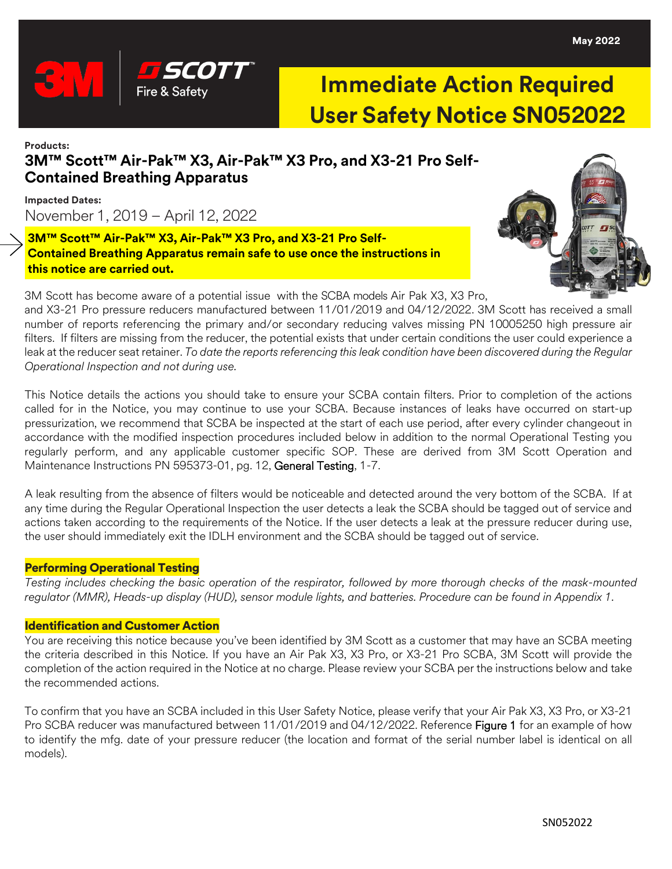

# **Immediate Action Required User Safety Notice SN052022**

## **Products: 3M™ Scott™ Air-Pak™ X3, Air-Pak™ X3 Pro, and X3-21 Pro Self-Contained Breathing Apparatus**

**Impacted Dates:** November 1, 2019 – April 12, 2022

## **3M™ Scott™ Air-Pak™ X3, Air-Pak™ X3 Pro, and X3-21 Pro Self-Contained Breathing Apparatus remain safe to use once the instructions in this notice are carried out.**



3M Scott has become aware of a potential issue with the SCBA models Air Pak X3, X3 Pro,

and X3-21 Pro pressure reducers manufactured between 11/01/2019 and 04/12/2022. 3M Scott has received a small number of reports referencing the primary and/or secondary reducing valves missing PN 10005250 high pressure air filters. If filters are missing from the reducer, the potential exists that under certain conditions the user could experience a leak at the reducer seat retainer. *To date the reports referencing this leak condition have been discovered during the Regular Operational Inspection and not during use.* 

This Notice details the actions you should take to ensure your SCBA contain filters. Prior to completion of the actions called for in the Notice, you may continue to use your SCBA. Because instances of leaks have occurred on start-up pressurization, we recommend that SCBA be inspected at the start of each use period, after every cylinder changeout in accordance with the modified inspection procedures included below in addition to the normal Operational Testing you regularly perform, and any applicable customer specific SOP. These are derived from 3M Scott Operation and Maintenance Instructions PN 595373-01, pg. 12, General Testing, 1-7.

A leak resulting from the absence of filters would be noticeable and detected around the very bottom of the SCBA. If at any time during the Regular Operational Inspection the user detects a leak the SCBA should be tagged out of service and actions taken according to the requirements of the Notice. If the user detects a leak at the pressure reducer during use, the user should immediately exit the IDLH environment and the SCBA should be tagged out of service.

### Performing Operational Testing

*Testing includes checking the basic operation of the respirator, followed by more thorough checks of the mask-mounted regulator (MMR), Heads-up display (HUD), sensor module lights, and batteries. Procedure can be found in Appendix 1.*

#### Identification and Customer Action

You are receiving this notice because you've been identified by 3M Scott as a customer that may have an SCBA meeting the criteria described in this Notice. If you have an Air Pak X3, X3 Pro, or X3-21 Pro SCBA, 3M Scott will provide the completion of the action required in the Notice at no charge. Please review your SCBA per the instructions below and take the recommended actions.

To confirm that you have an SCBA included in this User Safety Notice, please verify that your Air Pak X3, X3 Pro, or X3-21 Pro SCBA reducer was manufactured between 11/01/2019 and 04/12/2022. Reference Figure 1 for an example of how to identify the mfg. date of your pressure reducer (the location and format of the serial number label is identical on all models).